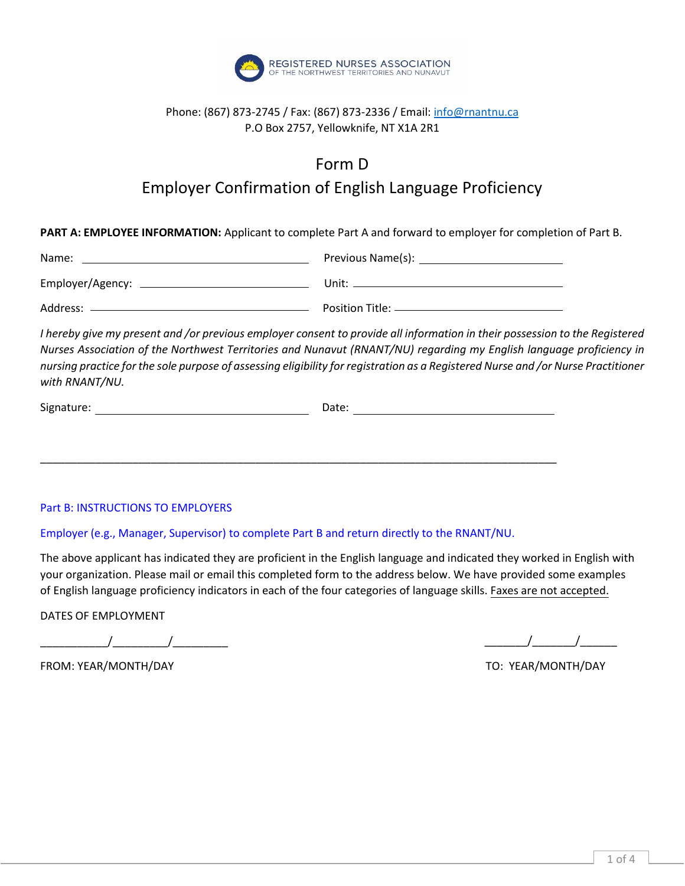

### Phone: (867) 873-2745 / Fax: (867) 873-2336 / Email[: info@rnantnu.ca](mailto:info@rnantnu.ca) P.O Box 2757, Yellowknife, NT X1A 2R1

# Form D

## Employer Confirmation of English Language Proficiency

**PART A: EMPLOYEE INFORMATION:** Applicant to complete Part A and forward to employer for completion of Part B.

| Name:            | Previous Name(s):   |
|------------------|---------------------|
| Employer/Agency: | Unit:               |
| Address:         | Position Title: $-$ |

*I hereby give my present and /or previous employer consent to provide all information in their possession to the Registered Nurses Association of the Northwest Territories and Nunavut (RNANT/NU) regarding my English language proficiency in nursing practice for the sole purpose of assessing eligibility for registration as a Registered Nurse and /or Nurse Practitioner with RNANT/NU.*

| Signature: | Date: |
|------------|-------|
|            |       |

\_\_\_\_\_\_\_\_\_\_\_\_\_\_\_\_\_\_\_\_\_\_\_\_\_\_\_\_\_\_\_\_\_\_\_\_\_\_\_\_\_\_\_\_\_\_\_\_\_\_\_\_\_\_\_\_\_\_\_\_\_\_\_\_\_\_\_\_\_\_\_\_\_\_\_\_\_\_\_\_\_\_\_\_

### Part B: INSTRUCTIONS TO EMPLOYERS

#### Employer (e.g., Manager, Supervisor) to complete Part B and return directly to the RNANT/NU.

The above applicant has indicated they are proficient in the English language and indicated they worked in English with your organization. Please mail or email this completed form to the address below. We have provided some examples of English language proficiency indicators in each of the four categories of language skills. Faxes are not accepted.

DATES OF EMPLOYMENT

 $\sqrt{2\pi}$ 

\_\_\_\_\_\_\_/\_\_\_\_\_\_\_/\_\_\_\_\_\_

TO: YEAR/MONTH/DAY

FROM: YEAR/MONTH/DAY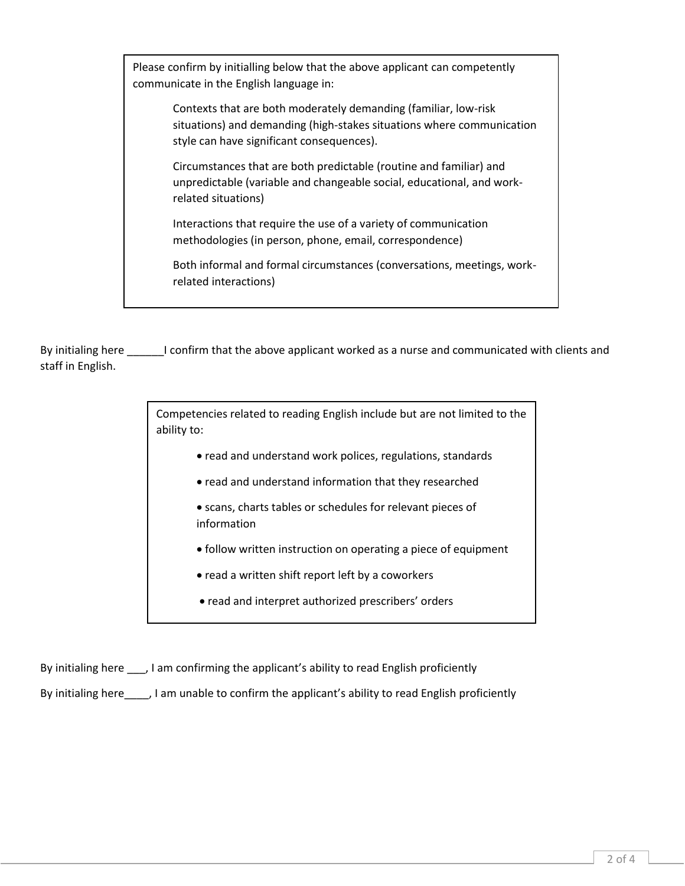Please confirm by initialling below that the above applicant can competently communicate in the English language in:

> Contexts that are both moderately demanding (familiar, low-risk situations) and demanding (high-stakes situations where communication style can have significant consequences).

Circumstances that are both predictable (routine and familiar) and unpredictable (variable and changeable social, educational, and workrelated situations)

Interactions that require the use of a variety of communication methodologies (in person, phone, email, correspondence)

Both informal and formal circumstances (conversations, meetings, workrelated interactions)

By initialing here \_\_\_\_\_\_I confirm that the above applicant worked as a nurse and communicated with clients and staff in English.

> Competencies related to reading English include but are not limited to the ability to:

- read and understand work polices, regulations, standards
- read and understand information that they researched
- scans, charts tables or schedules for relevant pieces of information
- follow written instruction on operating a piece of equipment
- read a written shift report left by a coworkers
- read and interpret authorized prescribers' orders

By initialing here \_\_\_, I am confirming the applicant's ability to read English proficiently

By initialing here\_\_\_\_, I am unable to confirm the applicant's ability to read English proficiently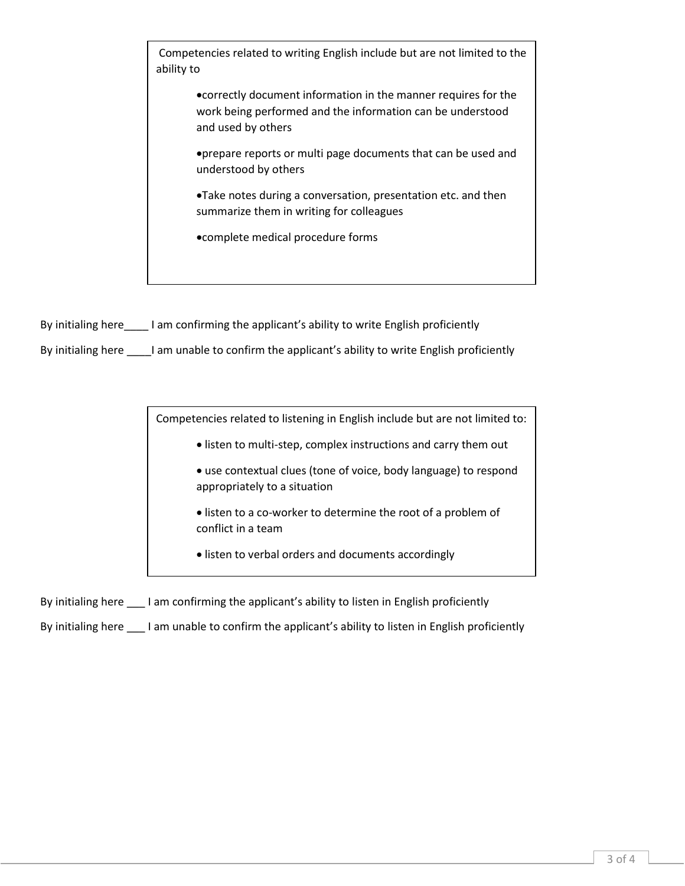Competencies related to writing English include but are not limited to the ability to

> •correctly document information in the manner requires for the work being performed and the information can be understood and used by others

> •prepare reports or multi page documents that can be used and understood by others

•Take notes during a conversation, presentation etc. and then summarize them in writing for colleagues

•complete medical procedure forms

By initialing here lam confirming the applicant's ability to write English proficiently

By initialing here \_\_\_\_I am unable to confirm the applicant's ability to write English proficiently

Competencies related to listening in English include but are not limited to:

• listen to multi-step, complex instructions and carry them out

- use contextual clues (tone of voice, body language) to respond appropriately to a situation
- listen to a co-worker to determine the root of a problem of conflict in a team
- listen to verbal orders and documents accordingly

By initialing here \_\_\_ I am confirming the applicant's ability to listen in English proficiently

By initialing here \_\_\_\_ I am unable to confirm the applicant's ability to listen in English proficiently